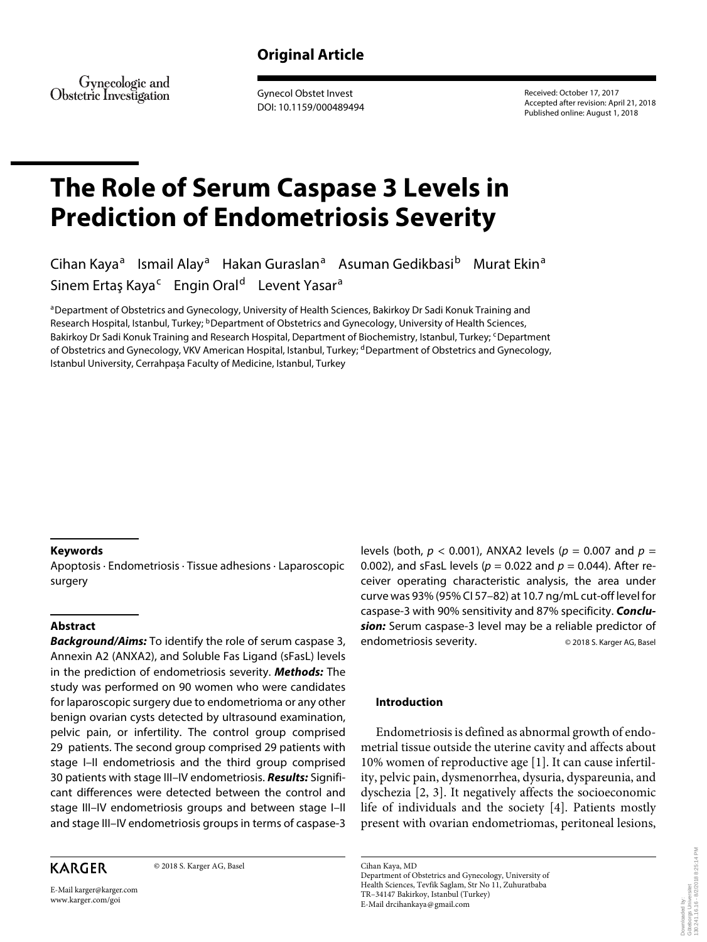# **Original Article**

Gynecologic and Obstetric Investigation

 Gynecol Obstet Invest DOI: 10.1159/000489494  Received: October 17, 2017 Accepted after revision: April 21, 2018 Published online: August 1, 2018

# **The Role of Serum Caspase 3 Levels in Prediction of Endometriosis Severity**

Cihan Kaya<sup>a</sup> Ismail Alay<sup>a</sup> Hakan Guraslan<sup>a</sup> Asuman Gedikbasi<sup>b</sup> Murat Ekin<sup>a</sup> Sinem Ertaş Kaya<sup>c</sup> Engin Oral<sup>d</sup> Levent Yasar<sup>a</sup>

a Department of Obstetrics and Gynecology, University of Health Sciences, Bakirkoy Dr Sadi Konuk Training and Research Hospital, Istanbul, Turkey; <sup>b</sup> Department of Obstetrics and Gynecology, University of Health Sciences, Bakirkoy Dr Sadi Konuk Training and Research Hospital, Department of Biochemistry, Istanbul, Turkey; <sup>c</sup> Department of Obstetrics and Gynecology, VKV American Hospital, Istanbul, Turkey; dDepartment of Obstetrics and Gynecology, Istanbul University, Cerrahpaşa Faculty of Medicine, Istanbul, Turkey

### **Keywords**

 Apoptosis · Endometriosis · Tissue adhesions · Laparoscopic surgery

### **Abstract**

**Background/Aims:** To identify the role of serum caspase 3, Annexin A2 (ANXA2), and Soluble Fas Ligand (sFasL) levels in the prediction of endometriosis severity. **Methods:** The study was performed on 90 women who were candidates for laparoscopic surgery due to endometrioma or any other benign ovarian cysts detected by ultrasound examination, pelvic pain, or infertility. The control group comprised 29 patients. The second group comprised 29 patients with stage I–II endometriosis and the third group comprised 30 patients with stage III–IV endometriosis. **Results:** Significant differences were detected between the control and stage III–IV endometriosis groups and between stage I–II and stage III–IV endometriosis groups in terms of caspase-3

## **KARGER**

© 2018 S. Karger AG, Basel

E-Mail karger@karger.com www.karger.com/goi

levels (both,  $p < 0.001$ ), ANXA2 levels ( $p = 0.007$  and  $p =$ 0.002), and sFasL levels ( $p = 0.022$  and  $p = 0.044$ ). After receiver operating characteristic analysis, the area under curve was 93% (95% CI 57–82) at 10.7 ng/mL cut-off level for caspase-3 with 90% sensitivity and 87% specificity. **Conclusion:** Serum caspase-3 level may be a reliable predictor of endometriosis severity. © 2018 S. Karger AG, Basel

### **Introduction**

 Endometriosis is defined as abnormal growth of endometrial tissue outside the uterine cavity and affects about 10% women of reproductive age [1] . It can cause infertility, pelvic pain, dysmenorrhea, dysuria, dyspareunia, and dyschezia [2, 3]. It negatively affects the socioeconomic life of individuals and the society [4]. Patients mostly present with ovarian endometriomas, peritoneal lesions,

 Cihan Kaya, MD Department of Obstetrics and Gynecology, University of Health Sciences, Tevfik Saglam, Str No 11, Zuhuratbaba TR– 34147 Bakirkoy, Istanbul (Turkey) E-Mail drcihankaya @ gmail.com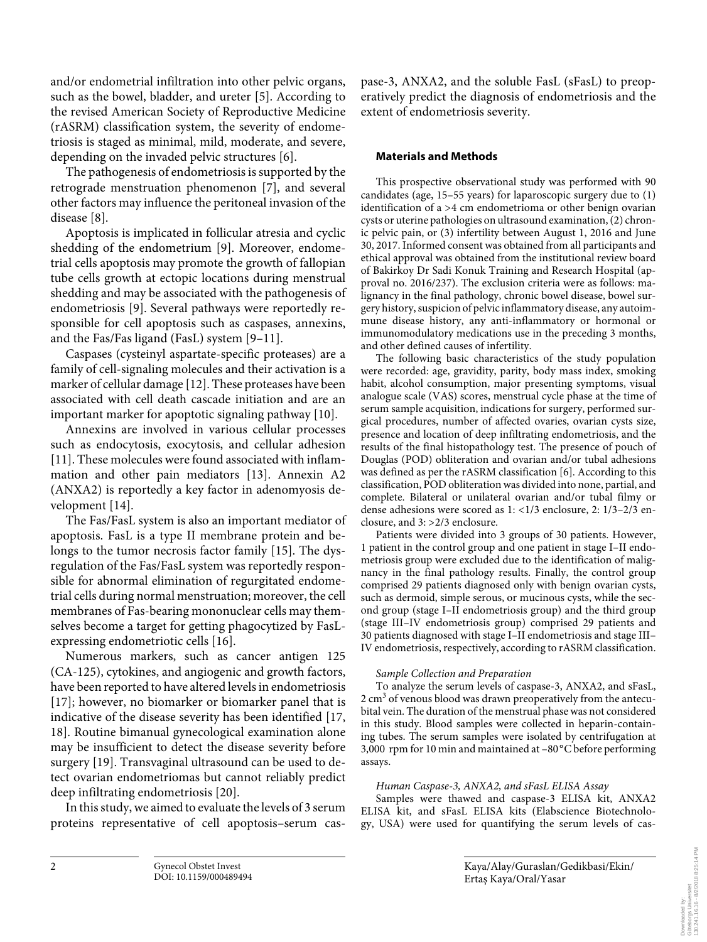and/or endometrial infiltration into other pelvic organs, such as the bowel, bladder, and ureter [5]. According to the revised American Society of Reproductive Medicine (rASRM) classification system, the severity of endometriosis is staged as minimal, mild, moderate, and severe, depending on the invaded pelvic structures [6].

 The pathogenesis of endometriosis is supported by the retrograde menstruation phenomenon [7], and several other factors may influence the peritoneal invasion of the disease [8].

 Apoptosis is implicated in follicular atresia and cyclic shedding of the endometrium [9]. Moreover, endometrial cells apoptosis may promote the growth of fallopian tube cells growth at ectopic locations during menstrual shedding and may be associated with the pathogenesis of endometriosis [9]. Several pathways were reportedly responsible for cell apoptosis such as caspases, annexins, and the Fas/Fas ligand (FasL) system [9–11] .

 Caspases (cysteinyl aspartate-specific proteases) are a family of cell-signaling molecules and their activation is a marker of cellular damage [12] . These proteases have been associated with cell death cascade initiation and are an important marker for apoptotic signaling pathway [10] .

 Annexins are involved in various cellular processes such as endocytosis, exocytosis, and cellular adhesion [11]. These molecules were found associated with inflammation and other pain mediators [13]. Annexin A2 (ANXA2) is reportedly a key factor in adenomyosis development [14].

 The Fas/FasL system is also an important mediator of apoptosis. FasL is a type II membrane protein and belongs to the tumor necrosis factor family [15]. The dysregulation of the Fas/FasL system was reportedly responsible for abnormal elimination of regurgitated endometrial cells during normal menstruation; moreover, the cell membranes of Fas-bearing mononuclear cells may themselves become a target for getting phagocytized by FasLexpressing endometriotic cells [16].

 Numerous markers, such as cancer antigen 125 (CA-125), cytokines, and angiogenic and growth factors, have been reported to have altered levels in endometriosis [17]; however, no biomarker or biomarker panel that is indicative of the disease severity has been identified [17, 18]. Routine bimanual gynecological examination alone may be insufficient to detect the disease severity before surgery [19]. Transvaginal ultrasound can be used to detect ovarian endometriomas but cannot reliably predict deep infiltrating endometriosis [20] .

 In this study, we aimed to evaluate the levels of 3 serum proteins representative of cell apoptosis–serum caspase-3, ANXA2, and the soluble FasL (sFasL) to preoperatively predict the diagnosis of endometriosis and the extent of endometriosis severity.

### **Materials and Methods**

 This prospective observational study was performed with 90 candidates (age, 15–55 years) for laparoscopic surgery due to (1) identification of a >4 cm endometrioma or other benign ovarian cysts or uterine pathologies on ultrasound examination, (2) chronic pelvic pain, or (3) infertility between August 1, 2016 and June 30, 2017. Informed consent was obtained from all participants and ethical approval was obtained from the institutional review board of Bakirkoy Dr Sadi Konuk Training and Research Hospital (approval no. 2016/237). The exclusion criteria were as follows: malignancy in the final pathology, chronic bowel disease, bowel surgery history, suspicion of pelvic inflammatory disease, any autoimmune disease history, any anti-inflammatory or hormonal or immunomodulatory medications use in the preceding 3 months, and other defined causes of infertility.

 The following basic characteristics of the study population were recorded: age, gravidity, parity, body mass index, smoking habit, alcohol consumption, major presenting symptoms, visual analogue scale (VAS) scores, menstrual cycle phase at the time of serum sample acquisition, indications for surgery, performed surgical procedures, number of affected ovaries, ovarian cysts size, presence and location of deep infiltrating endometriosis, and the results of the final histopathology test. The presence of pouch of Douglas (POD) obliteration and ovarian and/or tubal adhesions was defined as per the rASRM classification [6]. According to this classification, POD obliteration was divided into none, partial, and complete. Bilateral or unilateral ovarian and/or tubal filmy or dense adhesions were scored as 1: <1/3 enclosure, 2: 1/3–2/3 enclosure, and 3: >2/3 enclosure.

 Patients were divided into 3 groups of 30 patients. However, 1 patient in the control group and one patient in stage I–II endometriosis group were excluded due to the identification of malignancy in the final pathology results. Finally, the control group comprised 29 patients diagnosed only with benign ovarian cysts, such as dermoid, simple serous, or mucinous cysts, while the second group (stage I–II endometriosis group) and the third group (stage III–IV endometriosis group) comprised 29 patients and 30 patients diagnosed with stage I–II endometriosis and stage III– IV endometriosis, respectively, according to rASRM classification.

### *Sample Collection and Preparation*

 To analyze the serum levels of caspase-3, ANXA2, and sFasL, 2 cm<sup>3</sup> of venous blood was drawn preoperatively from the antecubital vein. The duration of the menstrual phase was not considered in this study. Blood samples were collected in heparin-containing tubes. The serum samples were isolated by centrifugation at 3,000 rpm for 10 min and maintained at -80°C before performing assays.

### *Human Caspase-3, ANXA2, and sFasL ELISA Assay*

 Samples were thawed and caspase-3 ELISA kit, ANXA2 ELISA kit, and sFasL ELISA kits (Elabscience Biotechnology, USA) were used for quantifying the serum levels of cas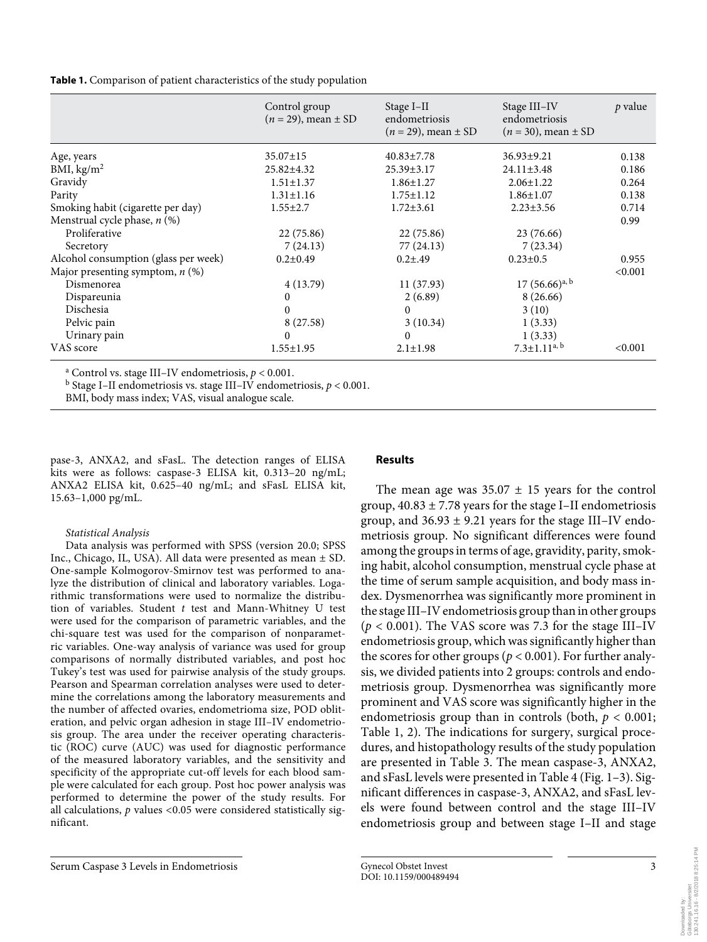**Table 1.** Comparison of patient characteristics of the study population

|                                      | Control group<br>$(n = 29)$ , mean $\pm$ SD | Stage I-II<br>endometriosis<br>$(n = 29)$ , mean $\pm$ SD | Stage III-IV<br>endometriosis<br>$(n = 30)$ , mean $\pm$ SD | p value |
|--------------------------------------|---------------------------------------------|-----------------------------------------------------------|-------------------------------------------------------------|---------|
| Age, years                           | $35.07 \pm 15$                              | $40.83 \pm 7.78$                                          | $36.93 \pm 9.21$                                            | 0.138   |
| BMI, $\text{kg/m}^2$                 | 25.82±4.32                                  | $25.39 \pm 3.17$                                          | $24.11 \pm 3.48$                                            | 0.186   |
| Gravidy                              | $1.51 \pm 1.37$                             | $1.86 \pm 1.27$                                           | $2.06 \pm 1.22$                                             | 0.264   |
| Parity                               | $1.31 \pm 1.16$                             | $1.75 \pm 1.12$                                           | $1.86 \pm 1.07$                                             | 0.138   |
| Smoking habit (cigarette per day)    | $1.55 \pm 2.7$                              | $1.72 \pm 3.61$                                           | $2.23 \pm 3.56$                                             | 0.714   |
| Menstrual cycle phase, $n$ (%)       |                                             |                                                           |                                                             | 0.99    |
| Proliferative                        | 22 (75.86)                                  | 22 (75.86)                                                | 23 (76.66)                                                  |         |
| Secretory                            | 7(24.13)                                    | 77 (24.13)                                                | 7(23.34)                                                    |         |
| Alcohol consumption (glass per week) | $0.2 \pm 0.49$                              | $0.2 \pm .49$                                             | $0.23 \pm 0.5$                                              | 0.955   |
| Major presenting symptom, $n$ (%)    |                                             |                                                           |                                                             | < 0.001 |
| Dismenorea                           | 4(13.79)                                    | 11(37.93)                                                 | $17(56.66)^{a, b}$                                          |         |
| Dispareunia                          | $\Omega$                                    | 2(6.89)                                                   | 8 (26.66)                                                   |         |
| Dischesia                            | $\Omega$                                    | $\Omega$                                                  | 3(10)                                                       |         |
| Pelvic pain                          | 8 (27.58)                                   | 3(10.34)                                                  | 1(3.33)                                                     |         |
| Urinary pain                         | 0                                           | $\mathbf{0}$                                              | 1(3.33)                                                     |         |
| VAS score                            | $1.55 \pm 1.95$                             | $2.1 \pm 1.98$                                            | $7.3 \pm 1.11^{a, b}$                                       | < 0.001 |

a Control vs. stage III–IV endometriosis, *p* < 0.001.

<sup>b</sup> Stage I–II endometriosis vs. stage III–IV endometriosis,  $p < 0.001$ .

BMI, body mass index; VAS, visual analogue scale.

pase-3, ANXA2, and sFasL. The detection ranges of ELISA kits were as follows: caspase-3 ELISA kit, 0.313-20 ng/mL; ANXA2 ELISA kit, 0.625–40 ng/mL; and sFasL ELISA kit, 15.63–1,000 pg/mL.

 *Statistical Analysis* 

 Data analysis was performed with SPSS (version 20.0; SPSS Inc., Chicago, IL, USA). All data were presented as mean ± SD. One-sample Kolmogorov-Smirnov test was performed to analyze the distribution of clinical and laboratory variables. Logarithmic transformations were used to normalize the distribution of variables. Student *t* test and Mann-Whitney U test were used for the comparison of parametric variables, and the chi-square test was used for the comparison of nonparametric variables. One-way analysis of variance was used for group comparisons of normally distributed variables, and post hoc Tukey's test was used for pairwise analysis of the study groups. Pearson and Spearman correlation analyses were used to determine the correlations among the laboratory measurements and the number of affected ovaries, endometrioma size, POD obliteration, and pelvic organ adhesion in stage III–IV endometriosis group. The area under the receiver operating characteristic (ROC) curve (AUC) was used for diagnostic performance of the measured laboratory variables, and the sensitivity and specificity of the appropriate cut-off levels for each blood sample were calculated for each group. Post hoc power analysis was performed to determine the power of the study results. For all calculations, *p* values <0.05 were considered statistically significant.

### **Results**

The mean age was  $35.07 \pm 15$  years for the control group,  $40.83 \pm 7.78$  years for the stage I–II endometriosis group, and  $36.93 \pm 9.21$  years for the stage III–IV endometriosis group. No significant differences were found among the groups in terms of age, gravidity, parity, smoking habit, alcohol consumption, menstrual cycle phase at the time of serum sample acquisition, and body mass index. Dysmenorrhea was significantly more prominent in the stage III–IV endometriosis group than in other groups  $(p < 0.001)$ . The VAS score was 7.3 for the stage III–IV endometriosis group, which was significantly higher than the scores for other groups ( $p < 0.001$ ). For further analysis, we divided patients into 2 groups: controls and endometriosis group. Dysmenorrhea was significantly more prominent and VAS score was significantly higher in the endometriosis group than in controls (both,  $p < 0.001$ ; Table 1, 2). The indications for surgery, surgical procedures, and histopathology results of the study population are presented in Table 3. The mean caspase-3, ANXA2, and sFasL levels were presented in Table 4 (Fig. 1–3). Significant differences in caspase-3, ANXA2, and sFasL levels were found between control and the stage III–IV endometriosis group and between stage I–II and stage

Downloaded by:<br>Göteborgs Universitet<br>130.241.16.16 - 8/2/2018 8:25:14 PM 130.241.16.16 - 8/2/2018 8:25:14 PMGöteborgs Universitet Downloaded by: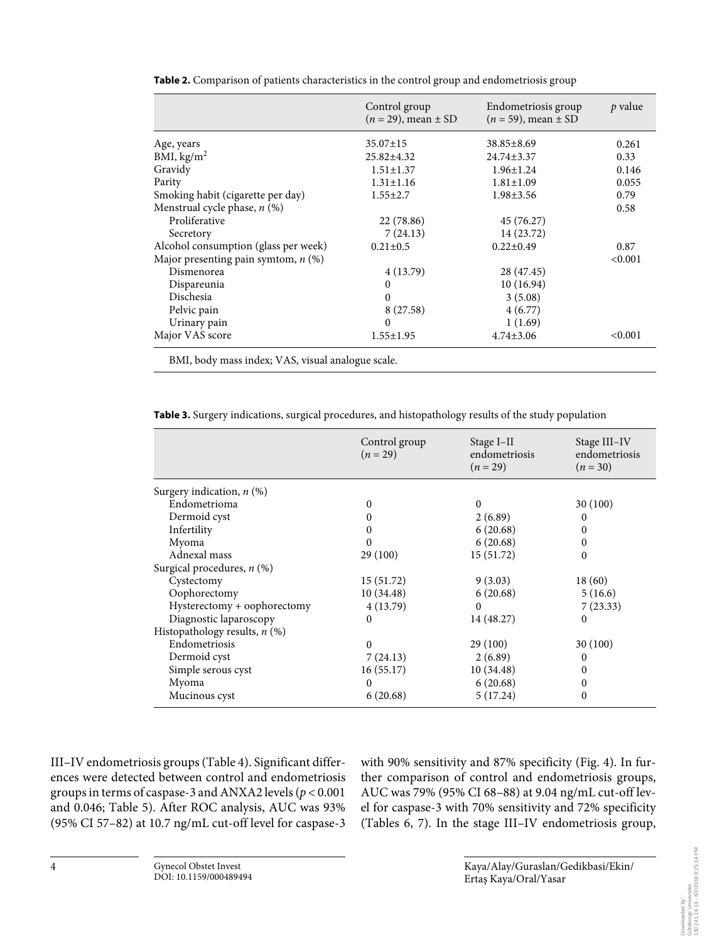|                                       | Control group<br>$(n = 29)$ , mean $\pm$ SD | Endometriosis group<br>$(n = 59)$ , mean $\pm$ SD | p value |
|---------------------------------------|---------------------------------------------|---------------------------------------------------|---------|
| Age, years                            | $35.07 \pm 15$                              | $38.85 \pm 8.69$                                  | 0.261   |
| BMI, $\text{kg/m}^2$                  | $25.82 \pm 4.32$                            | $24.74 \pm 3.37$                                  | 0.33    |
| Gravidy                               | $1.51 \pm 1.37$                             | $1.96 \pm 1.24$                                   | 0.146   |
| Parity                                | $1.31 \pm 1.16$                             | $1.81 \pm 1.09$                                   | 0.055   |
| Smoking habit (cigarette per day)     | $1.55 \pm 2.7$                              | $1.98 \pm 3.56$                                   | 0.79    |
| Menstrual cycle phase, $n$ (%)        |                                             |                                                   | 0.58    |
| Proliferative                         | 22 (78.86)                                  | 45 (76.27)                                        |         |
| Secretory                             | 7(24.13)                                    | 14 (23.72)                                        |         |
| Alcohol consumption (glass per week)  | $0.21 \pm 0.5$                              | $0.22 \pm 0.49$                                   | 0.87    |
| Major presenting pain symtom, $n$ (%) |                                             |                                                   | < 0.001 |
| Dismenorea                            | 4(13.79)                                    | 28 (47.45)                                        |         |
| Dispareunia                           | $\theta$                                    | 10(16.94)                                         |         |
| Dischesia                             | 0                                           | 3(5.08)                                           |         |
| Pelvic pain                           | 8 (27.58)                                   | 4(6.77)                                           |         |
| Urinary pain                          | $\Omega$                                    | 1(1.69)                                           |         |
| Major VAS score                       | $1.55 \pm 1.95$                             | $4.74 \pm 3.06$                                   | < 0.001 |

**Table 2.** Comparison of patients characteristics in the control group and endometriosis group

BMI, body mass index; VAS, visual analogue scale.

|                                 | Control group<br>$(n = 29)$ | Stage I-II<br>endometriosis<br>$(n = 29)$ | Stage III-IV<br>endometriosis<br>$(n = 30)$ |
|---------------------------------|-----------------------------|-------------------------------------------|---------------------------------------------|
| Surgery indication, $n$ (%)     |                             |                                           |                                             |
| Endometrioma                    | 0                           | $\Omega$                                  | 30(100)                                     |
| Dermoid cyst                    | $\boldsymbol{0}$            | 2(6.89)                                   | $\Omega$                                    |
| Infertility                     | 0                           | 6(20.68)                                  | 0                                           |
| Myoma                           | 0                           | 6(20.68)                                  | 0                                           |
| Adnexal mass                    | 29(100)                     | 15 (51.72)                                | $\Omega$                                    |
| Surgical procedures, $n$ (%)    |                             |                                           |                                             |
| Cystectomy                      | 15(51.72)                   | 9(3.03)                                   | 18(60)                                      |
| Oophorectomy                    | 10(34.48)                   | 6(20.68)                                  | 5(16.6)                                     |
| Hysterectomy + oophorectomy     | 4(13.79)                    | $\Omega$                                  | 7(23.33)                                    |
| Diagnostic laparoscopy          | $\theta$                    | 14 (48.27)                                | 0                                           |
| Histopathology results, $n$ (%) |                             |                                           |                                             |
| Endometriosis                   | $\Omega$                    | 29 (100)                                  | 30(100)                                     |
| Dermoid cyst                    | 7(24.13)                    | 2(6.89)                                   | 0                                           |
| Simple serous cyst              | 16(55.17)                   | 10(34.48)                                 | 0                                           |
| Myoma                           | $\Omega$                    | 6(20.68)                                  | 0                                           |
| Mucinous cyst                   | 6(20.68)                    | 5(17.24)                                  | 0                                           |

III-IV endometriosis groups (Table 4). Significant differences were detected between control and endometriosis groups in terms of caspase-3 and ANXA2 levels ( $p < 0.001$ ) and 0.046; Table 5). After ROC analysis, AUC was 93% (95% CI 57–82) at 10.7 ng/mL cut-off level for caspase-3

with 90% sensitivity and 87% specificity (Fig. 4). In further comparison of control and endometriosis groups, AUC was 79% (95% CI 68–88) at 9.04 ng/mL cut-off level for caspase-3 with 70% sensitivity and 72% specificity (Tables 6, 7). In the stage III–IV endometriosis group,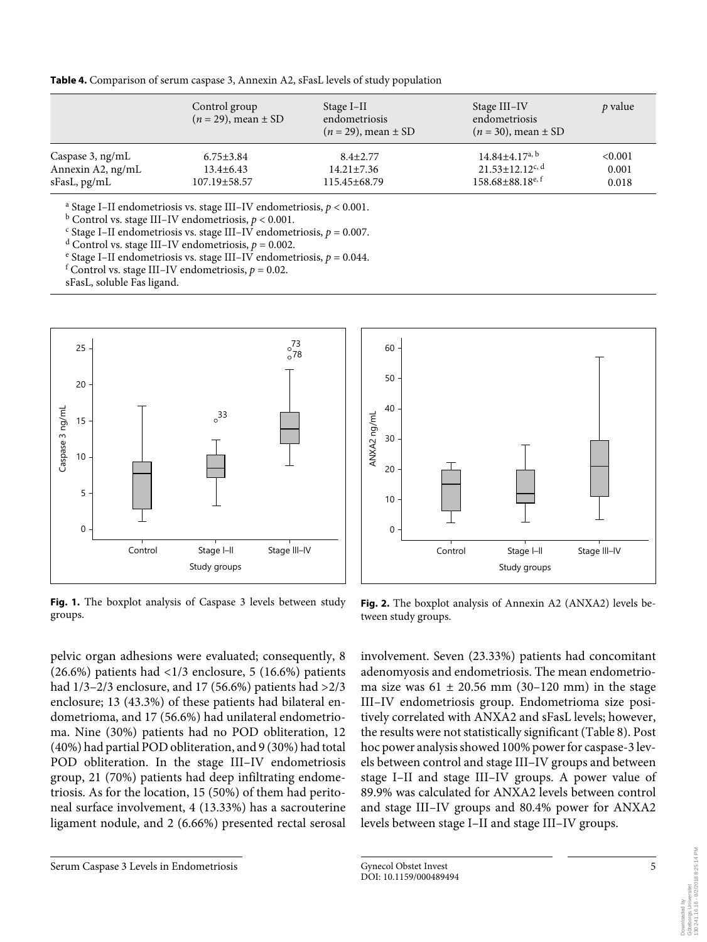|  | Table 4. Comparison of serum caspase 3, Annexin A2, sFasL levels of study population |  |  |  |  |  |  |  |
|--|--------------------------------------------------------------------------------------|--|--|--|--|--|--|--|
|--|--------------------------------------------------------------------------------------|--|--|--|--|--|--|--|

|                   | Control group<br>$(n = 29)$ , mean $\pm$ SD | Stage I-II<br>endometriosis<br>$(n = 29)$ , mean $\pm$ SD | Stage III–IV<br>endometriosis<br>$(n = 30)$ , mean $\pm$ SD | p value |
|-------------------|---------------------------------------------|-----------------------------------------------------------|-------------------------------------------------------------|---------|
| Caspase 3, ng/mL  | $6.75 \pm 3.84$                             | $8.4 \pm 2.77$                                            | $14.84\pm4.17^{a, b}$                                       | < 0.001 |
| Annexin A2, ng/mL | $13.4 \pm 6.43$                             | $14.21 \pm 7.36$                                          | $21.53 \pm 12.12$ <sup>c, d</sup>                           | 0.001   |
| sFasL, pg/mL      | 107.19±58.57                                | 115.45±68.79                                              | $158.68\pm88.18^{e,f}$                                      | 0.018   |

a Stage I–II endometriosis vs. stage III–IV endometriosis, *p* < 0.001.

 $\frac{6}{5}$  Control vs. stage III–IV endometriosis,  $p < 0.001$ .

 $\epsilon$  Stage I–II endometriosis vs. stage III–IV endometriosis,  $p = 0.007$ .

<sup>d</sup> Control vs. stage III–IV endometriosis,  $p = 0.002$ .

<sup>e</sup> Stage I–II endometriosis vs. stage III–IV endometriosis,  $p = 0.044$ .

 $^{\rm f}$  Control vs. stage III–IV endometriosis,  $p$  = 0.02.

sFasL, soluble Fas ligand.



**Fig. 1.** The boxplot analysis of Caspase 3 levels between study groups.

pelvic organ adhesions were evaluated; consequently, 8 (26.6%) patients had  $\langle 1/3 \rangle$  enclosure, 5 (16.6%) patients had 1/3–2/3 enclosure, and 17 (56.6%) patients had >2/3 enclosure; 13 (43.3%) of these patients had bilateral endometrioma, and 17 (56.6%) had unilateral endometrioma. Nine (30%) patients had no POD obliteration, 12 (40%) had partial POD obliteration, and 9 (30%) had total POD obliteration. In the stage III–IV endometriosis group, 21 (70%) patients had deep infiltrating endometriosis. As for the location, 15 (50%) of them had peritoneal surface involvement, 4 (13.33%) has a sacrouterine ligament nodule, and 2 (6.66%) presented rectal serosal



**Fig. 2.** The boxplot analysis of Annexin A2 (ANXA2) levels between study groups.

involvement. Seven (23.33%) patients had concomitant adenomyosis and endometriosis. The mean endometrioma size was  $61 \pm 20.56$  mm (30-120 mm) in the stage III–IV endometriosis group. Endometrioma size positively correlated with ANXA2 and sFasL levels; however, the results were not statistically significant (Table 8). Post hoc power analysis showed 100% power for caspase-3 levels between control and stage III–IV groups and between stage I–II and stage III–IV groups. A power value of 89.9% was calculated for ANXA2 levels between control and stage III–IV groups and 80.4% power for ANXA2 levels between stage I–II and stage III–IV groups.

Downloaded by: Göteborgs Universitet 130.241.16.16 - 8/2/2018 8:25:14 PM

Göteborgs Universitet<br>130.241.16.16 - 8/2/2018 8:25:14 PM

Serum Caspase 3 Levels in Endometriosis 6 and 5 and 5 Gynecol Obstet Invest 5 5 5 5 5 April 1988 6 5 5 5 5 5 6  $\pm$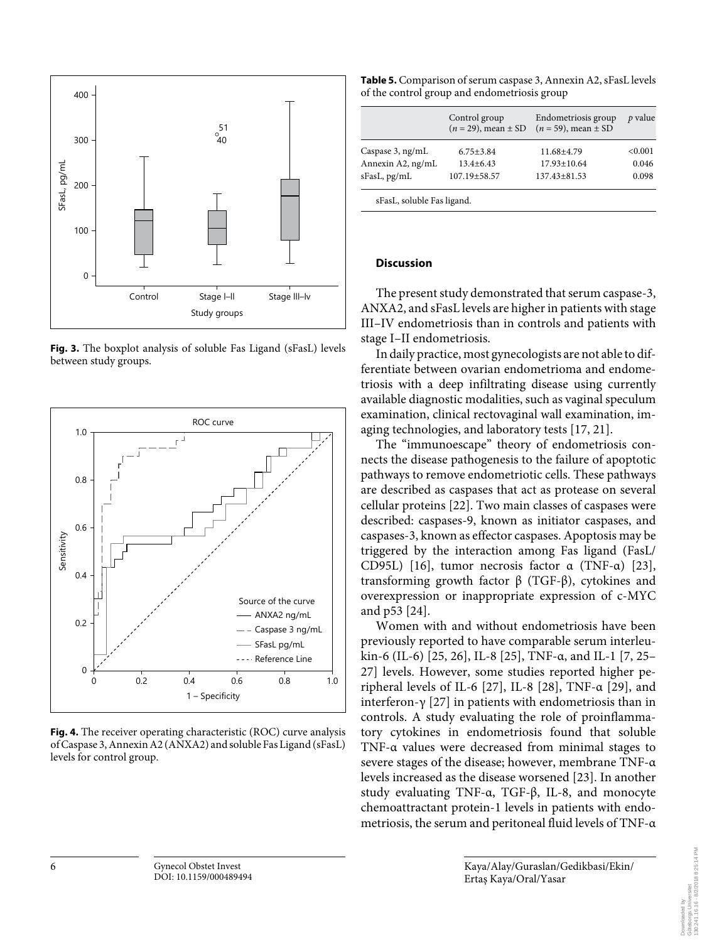

**Fig. 3.** The boxplot analysis of soluble Fas Ligand (sFasL) levels between study groups.



**Fig. 4.** The receiver operating characteristic (ROC) curve analysis of Caspase 3, Annexin A2 (ANXA2) and soluble Fas Ligand (sFasL) levels for control group.

| <b>Table 5.</b> Comparison of serum caspase 3, Annexin A2, sFasL levels |
|-------------------------------------------------------------------------|
| of the control group and endometriosis group                            |

|                     | Control group<br>$(n = 29)$ , mean $\pm$ SD | Endometriosis group<br>$(n = 59)$ , mean $\pm$ SD | p value |
|---------------------|---------------------------------------------|---------------------------------------------------|---------|
| Caspase $3$ , ng/mL | $6.75 \pm 3.84$                             | 11.68±4.79                                        | < 0.001 |
| Annexin A2, ng/mL   | $13.4 + 6.43$                               | $17.93 \pm 10.64$                                 | 0.046   |
| sFasL, pg/mL        | $107.19 + 58.57$                            | $137.43 \pm 81.53$                                | 0.098   |

sFasL, soluble Fas ligand.

# **Discussion**

 The present study demonstrated that serum caspase-3, ANXA2, and sFasL levels are higher in patients with stage III–IV endometriosis than in controls and patients with stage I–II endometriosis.

 In daily practice, most gynecologists are not able to differentiate between ovarian endometrioma and endometriosis with a deep infiltrating disease using currently available diagnostic modalities, such as vaginal speculum examination, clinical rectovaginal wall examination, imaging technologies, and laboratory tests [17, 21] .

 The "immunoescape" theory of endometriosis connects the disease pathogenesis to the failure of apoptotic pathways to remove endometriotic cells. These pathways are described as caspases that act as protease on several cellular proteins [22]. Two main classes of caspases were described: caspases-9, known as initiator caspases, and caspases-3, known as effector caspases. Apoptosis may be triggered by the interaction among Fas ligand (FasL/ CD95L) [16], tumor necrosis factor  $\alpha$  (TNF- $\alpha$ ) [23], transforming growth factor β (TGF-β), cytokines and overexpression or inappropriate expression of c-MYC and p53 [24].

 Women with and without endometriosis have been previously reported to have comparable serum interleukin-6 (IL-6) [25, 26], IL-8 [25], TNF-α, and IL-1 [7, 25– 27] levels. However, some studies reported higher peripheral levels of IL-6 [27], IL-8 [28], TNF- $\alpha$  [29], and interferon-γ [27] in patients with endometriosis than in controls. A study evaluating the role of proinflammatory cytokines in endometriosis found that soluble TNF-α values were decreased from minimal stages to severe stages of the disease; however, membrane TNF-α levels increased as the disease worsened [23] . In another study evaluating TNF-α, TGF-β, IL-8, and monocyte chemoattractant protein-1 levels in patients with endometriosis, the serum and peritoneal fluid levels of TNF-α

Göteborgs Universitet<br>130.241.16.16 - 8/2/2018 8:25:14 PM 130.241.16.16 - 8/2/2018 8:25:14 PMGöteborgs Universitet Downloaded by: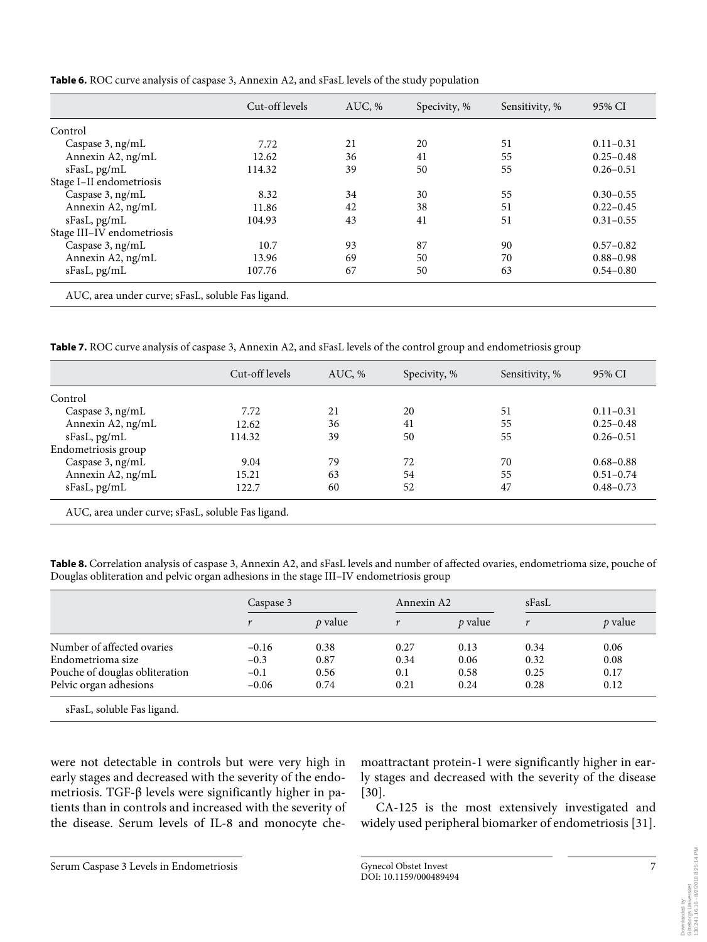|                            | Cut-off levels | $AUC.$ % | Specivity, % | Sensitivity, % | 95% CI        |
|----------------------------|----------------|----------|--------------|----------------|---------------|
| Control                    |                |          |              |                |               |
| Caspase $3$ , ng/mL        | 7.72           | 21       | 20           | 51             | $0.11 - 0.31$ |
| Annexin A2, ng/mL          | 12.62          | 36       | 41           | 55             | $0.25 - 0.48$ |
| sFasL, pg/mL               | 114.32         | 39       | 50           | 55             | $0.26 - 0.51$ |
| Stage I-II endometriosis   |                |          |              |                |               |
| Caspase 3, ng/mL           | 8.32           | 34       | 30           | 55             | $0.30 - 0.55$ |
| Annexin A2, ng/mL          | 11.86          | 42       | 38           | 51             | $0.22 - 0.45$ |
| sFasL, pg/mL               | 104.93         | 43       | 41           | 51             | $0.31 - 0.55$ |
| Stage III-IV endometriosis |                |          |              |                |               |
| Caspase 3, ng/mL           | 10.7           | 93       | 87           | 90             | $0.57 - 0.82$ |
| Annexin A2, ng/mL          | 13.96          | 69       | 50           | 70             | $0.88 - 0.98$ |
| sFasL, pg/mL               | 107.76         | 67       | 50           | 63             | $0.54 - 0.80$ |

**Table 6.** ROC curve analysis of caspase 3, Annexin A2, and sFasL levels of the study population

AUC, area under curve; sFasL, soluble Fas ligand.

**Table 7.** ROC curve analysis of caspase 3, Annexin A2, and sFasL levels of the control group and endometriosis group

|                     | Cut-off levels | AUC, % | Specivity, % | Sensitivity, % | 95% CI        |
|---------------------|----------------|--------|--------------|----------------|---------------|
| Control             |                |        |              |                |               |
| Caspase 3, ng/mL    | 7.72           | 21     | 20           | 51             | $0.11 - 0.31$ |
| Annexin A2, ng/mL   | 12.62          | 36     | 41           | 55             | $0.25 - 0.48$ |
| sFasL, pg/mL        | 114.32         | 39     | 50           | 55             | $0.26 - 0.51$ |
| Endometriosis group |                |        |              |                |               |
| Caspase 3, ng/mL    | 9.04           | 79     | 72           | 70             | $0.68 - 0.88$ |
| Annexin A2, ng/mL   | 15.21          | 63     | 54           | 55             | $0.51 - 0.74$ |
| sFasL, pg/mL        | 122.7          | 60     | 52           | 47             | $0.48 - 0.73$ |

**Table 8.** Correlation analysis of caspase 3, Annexin A2, and sFasL levels and number of affected ovaries, endometrioma size, pouche of Douglas obliteration and pelvic organ adhesions in the stage III–IV endometriosis group

|                                | Caspase 3 |                |      | Annexin A2     |      |           |
|--------------------------------|-----------|----------------|------|----------------|------|-----------|
|                                |           | <i>p</i> value |      | <i>p</i> value | r    | $p$ value |
| Number of affected ovaries     | $-0.16$   | 0.38           | 0.27 | 0.13           | 0.34 | 0.06      |
| Endometrioma size              | $-0.3$    | 0.87           | 0.34 | 0.06           | 0.32 | 0.08      |
| Pouche of douglas obliteration | $-0.1$    | 0.56           | 0.1  | 0.58           | 0.25 | 0.17      |
| Pelvic organ adhesions         | $-0.06$   | 0.74           | 0.21 | 0.24           | 0.28 | 0.12      |

were not detectable in controls but were very high in early stages and decreased with the severity of the endometriosis. TGF-β levels were significantly higher in patients than in controls and increased with the severity of the disease. Serum levels of IL-8 and monocyte che-

moattractant protein-1 were significantly higher in early stages and decreased with the severity of the disease  $[30]$ .

 CA-125 is the most extensively investigated and widely used peripheral biomarker of endometriosis [31] .

Downloaded by:<br>Göteborgs Universitet<br>130.241.16.16 - 8/2/2018 8:25:14 PM 130.241.16.16 - 8/2/2018 8:25:14 PMGöteborgs Universitet Downloaded by:

Serum Caspase 3 Levels in Endometriosis Gynecol Obstet Invest 7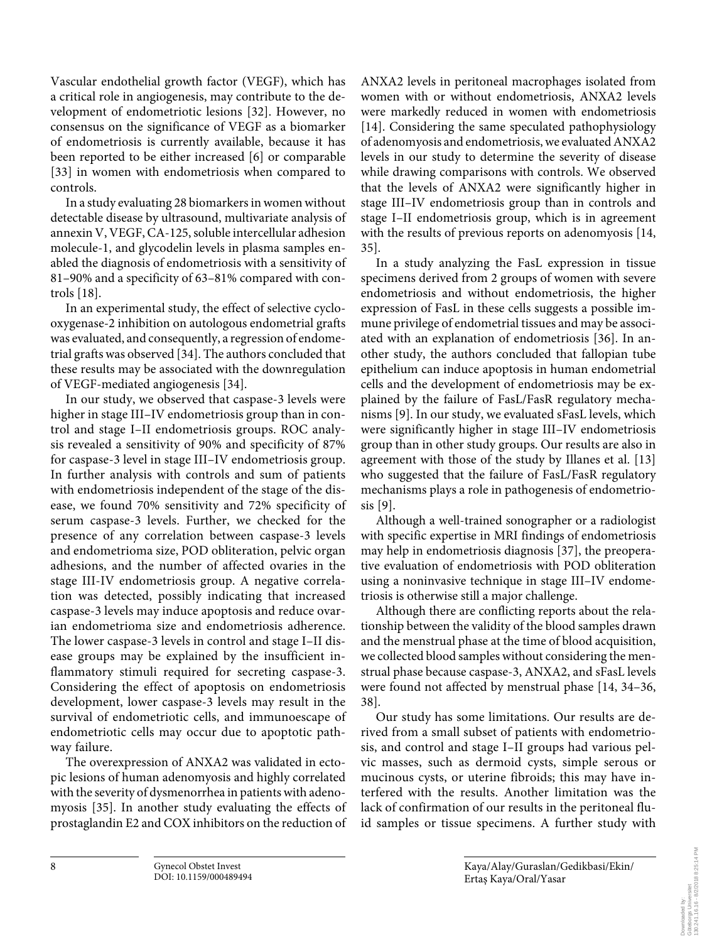Vascular endothelial growth factor (VEGF), which has a critical role in angiogenesis, may contribute to the development of endometriotic lesions [32] . However, no consensus on the significance of VEGF as a biomarker of endometriosis is currently available, because it has been reported to be either increased [6] or comparable [33] in women with endometriosis when compared to controls.

 In a study evaluating 28 biomarkers in women without detectable disease by ultrasound, multivariate analysis of annexin V, VEGF, CA-125, soluble intercellular adhesion molecule-1, and glycodelin levels in plasma samples enabled the diagnosis of endometriosis with a sensitivity of 81–90% and a specificity of 63–81% compared with controls [18].

 In an experimental study, the effect of selective cyclooxygenase-2 inhibition on autologous endometrial grafts was evaluated, and consequently, a regression of endometrial grafts was observed [34] . The authors concluded that these results may be associated with the downregulation of VEGF-mediated angiogenesis [34] .

 In our study, we observed that caspase-3 levels were higher in stage III–IV endometriosis group than in control and stage I–II endometriosis groups. ROC analysis revealed a sensitivity of 90% and specificity of 87% for caspase-3 level in stage III–IV endometriosis group. In further analysis with controls and sum of patients with endometriosis independent of the stage of the disease, we found 70% sensitivity and 72% specificity of serum caspase-3 levels. Further, we checked for the presence of any correlation between caspase-3 levels and endometrioma size, POD obliteration, pelvic organ adhesions, and the number of affected ovaries in the stage III-IV endometriosis group. A negative correlation was detected, possibly indicating that increased caspase-3 levels may induce apoptosis and reduce ovarian endometrioma size and endometriosis adherence. The lower caspase-3 levels in control and stage I–II disease groups may be explained by the insufficient inflammatory stimuli required for secreting caspase-3. Considering the effect of apoptosis on endometriosis development, lower caspase-3 levels may result in the survival of endometriotic cells, and immunoescape of endometriotic cells may occur due to apoptotic pathway failure.

 The overexpression of ANXA2 was validated in ectopic lesions of human adenomyosis and highly correlated with the severity of dysmenorrhea in patients with adenomyosis [35]. In another study evaluating the effects of prostaglandin E2 and COX inhibitors on the reduction of ANXA2 levels in peritoneal macrophages isolated from women with or without endometriosis, ANXA2 levels were markedly reduced in women with endometriosis [14]. Considering the same speculated pathophysiology of adenomyosis and endometriosis, we evaluated ANXA2 levels in our study to determine the severity of disease while drawing comparisons with controls. We observed that the levels of ANXA2 were significantly higher in stage III–IV endometriosis group than in controls and stage I–II endometriosis group, which is in agreement with the results of previous reports on adenomyosis [14, 35] .

 In a study analyzing the FasL expression in tissue specimens derived from 2 groups of women with severe endometriosis and without endometriosis, the higher expression of FasL in these cells suggests a possible immune privilege of endometrial tissues and may be associated with an explanation of endometriosis [36]. In another study, the authors concluded that fallopian tube epithelium can induce apoptosis in human endometrial cells and the development of endometriosis may be explained by the failure of FasL/FasR regulatory mechanisms [9]. In our study, we evaluated sFasL levels, which were significantly higher in stage III–IV endometriosis group than in other study groups. Our results are also in agreement with those of the study by Illanes et al. [13] who suggested that the failure of FasL/FasR regulatory mechanisms plays a role in pathogenesis of endometrio $sis [9]$ .

 Although a well-trained sonographer or a radiologist with specific expertise in MRI findings of endometriosis may help in endometriosis diagnosis [37], the preoperative evaluation of endometriosis with POD obliteration using a noninvasive technique in stage III–IV endometriosis is otherwise still a major challenge.

 Although there are conflicting reports about the relationship between the validity of the blood samples drawn and the menstrual phase at the time of blood acquisition, we collected blood samples without considering the menstrual phase because caspase-3, ANXA2, and sFasL levels were found not affected by menstrual phase [14, 34–36, 38] .

 Our study has some limitations. Our results are derived from a small subset of patients with endometriosis, and control and stage I–II groups had various pelvic masses, such as dermoid cysts, simple serous or mucinous cysts, or uterine fibroids; this may have interfered with the results. Another limitation was the lack of confirmation of our results in the peritoneal fluid samples or tissue specimens. A further study with

Göteborgs Universitet<br>130.241.16.16 - 8/2/2018 8:25:14 PM 130.241.16.16 - 8/2/2018 8:25:14 PMGöteborgs Universitet Downloaded by: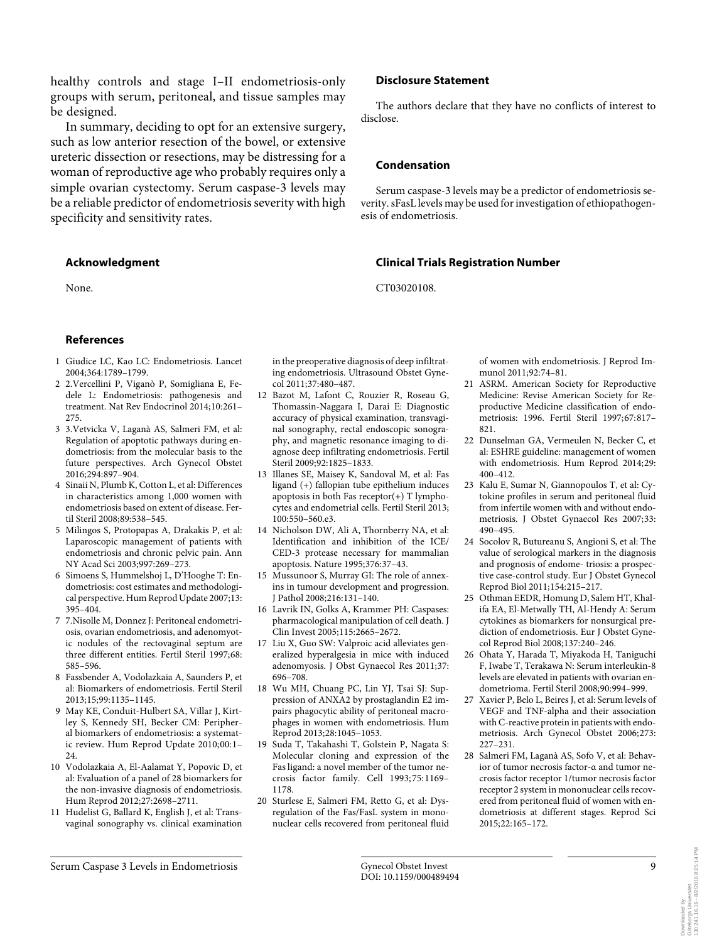healthy controls and stage I–II endometriosis-only groups with serum, peritoneal, and tissue samples may be designed.

 In summary, deciding to opt for an extensive surgery, such as low anterior resection of the bowel, or extensive ureteric dissection or resections, may be distressing for a woman of reproductive age who probably requires only a simple ovarian cystectomy. Serum caspase-3 levels may be a reliable predictor of endometriosis severity with high specificity and sensitivity rates.

### **Acknowledgment**

None.

### **References**

- 1 Giudice LC, Kao LC: Endometriosis. Lancet 2004;364:1789–1799.
- 2 2.Vercellini P, Viganò P, Somigliana E, Fedele L: Endometriosis: pathogenesis and treatment. Nat Rev Endocrinol 2014;10:261– 275.
- 3 3.Vetvicka V, Laganà AS, Salmeri FM, et al: Regulation of apoptotic pathways during endometriosis: from the molecular basis to the future perspectives. Arch Gynecol Obstet 2016;294:897–904.
- 4 Sinaii N, Plumb K, Cotton L, et al: Differences in characteristics among 1,000 women with endometriosis based on extent of disease. Fertil Steril 2008;89:538–545.
- 5 Milingos S, Protopapas A, Drakakis P, et al: Laparoscopic management of patients with endometriosis and chronic pelvic pain. Ann NY Acad Sci 2003;997:269–273.
- 6 Simoens S, Hummelshoj L, D'Hooghe T: Endometriosis: cost estimates and methodological perspective. Hum Reprod Update 2007;13: 395–404.
- 7 7.Nisolle M, Donnez J: Peritoneal endometriosis, ovarian endometriosis, and adenomyotic nodules of the rectovaginal septum are three different entities. Fertil Steril 1997;68: 585–596.
- 8 Fassbender A, Vodolazkaia A, Saunders P, et al: Biomarkers of endometriosis. Fertil Steril 2013;15;99:1135–1145.
- 9 May KE, Conduit-Hulbert SA, Villar J, Kirtley S, Kennedy SH, Becker CM: Peripheral biomarkers of endometriosis: a systematic review. Hum Reprod Update 2010;00:1– 24.
- 10 Vodolazkaia A, El-Aalamat Y, Popovic D, et al: Evaluation of a panel of 28 biomarkers for the non-invasive diagnosis of endometriosis. Hum Reprod 2012;27:2698–2711.
- 11 Hudelist G, Ballard K, English J, et al: Transvaginal sonography vs. clinical examination

in the preoperative diagnosis of deep infiltrating endometriosis. Ultrasound Obstet Gynecol 2011;37:480–487.

- 12 Bazot M, Lafont C, Rouzier R, Roseau G, Thomassin-Naggara I, Darai E: Diagnostic accuracy of physical examination, transvaginal sonography, rectal endoscopic sonography, and magnetic resonance imaging to diagnose deep infiltrating endometriosis. Fertil Steril 2009;92:1825–1833.
- 13 Illanes SE, Maisey K, Sandoval M, et al: Fas ligand (+) fallopian tube epithelium induces apoptosis in both Fas receptor(+) T lymphocytes and endometrial cells. Fertil Steril 2013;  $100.550 - 560e3$
- 14 Nicholson DW, Ali A, Thornberry NA, et al: Identification and inhibition of the ICE/ CED-3 protease necessary for mammalian apoptosis. Nature 1995;376:37–43.
- 15 Mussunoor S, Murray GI: The role of annexins in tumour development and progression. J Pathol 2008;216:131–140.
- 16 Lavrik IN, Golks A, Krammer PH: Caspases: pharmacological manipulation of cell death. J Clin Invest 2005;115:2665–2672.
- 17 Liu X, Guo SW: Valproic acid alleviates generalized hyperalgesia in mice with induced adenomyosis. J Obst Gynaecol Res 2011;37: 696–708.
- 18 Wu MH, Chuang PC, Lin YJ, Tsai SJ: Suppression of ANXA2 by prostaglandin E2 impairs phagocytic ability of peritoneal macrophages in women with endometriosis. Hum Reprod 2013;28:1045–1053.
- 19 Suda T, Takahashi T, Golstein P, Nagata S: Molecular cloning and expression of the Fas ligand: a novel member of the tumor necrosis factor family. Cell 1993; 75: 1169– 1178.
- 20 Sturlese E, Salmeri FM, Retto G, et al: Dysregulation of the Fas/FasL system in mononuclear cells recovered from peritoneal fluid

### **Disclosure Statement**

 The authors declare that they have no conflicts of interest to disclose.

### **Condensation**

 Serum caspase-3 levels may be a predictor of endometriosis severity. sFasL levels may be used for investigation of ethiopathogenesis of endometriosis.

### **Clinical Trials Registration Number**

CT03020108.

of women with endometriosis. J Reprod Immunol 2011;92:74–81.

- 21 ASRM. American Society for Reproductive Medicine: Revise American Society for Reproductive Medicine classification of endometriosis: 1996. Fertil Steril 1997;67:817– 821.
- 22 Dunselman GA, Vermeulen N, Becker C, et al: ESHRE guideline: management of women with endometriosis. Hum Reprod 2014;29: 400–412.
- 23 Kalu E, Sumar N, Giannopoulos T, et al: Cytokine profiles in serum and peritoneal fluid from infertile women with and without endometriosis. J Obstet Gynaecol Res 2007;33: 490–495.
- 24 Socolov R, Butureanu S, Angioni S, et al: The value of serological markers in the diagnosis and prognosis of endome- triosis: a prospective case-control study. Eur J Obstet Gynecol Reprod Biol 2011;154:215–217.
- 25 Othman EEDR, Homung D, Salem HT, Khalifa EA, El-Metwally TH, Al-Hendy A: Serum cytokines as biomarkers for nonsurgical prediction of endometriosis. Eur J Obstet Gynecol Reprod Biol 2008;137:240–246.
- 26 Ohata Y, Harada T, Miyakoda H, Taniguchi F, Iwabe T, Terakawa N: Serum interleukin-8 levels are elevated in patients with ovarian endometrioma. Fertil Steril 2008;90:994–999.
- 27 Xavier P, Belo L, Beires J, et al: Serum levels of VEGF and TNF-alpha and their association with C-reactive protein in patients with endometriosis. Arch Gynecol Obstet 2006;273: 227–231.
- 28 Salmeri FM, Laganà AS, Sofo V, et al: Behavior of tumor necrosis factor-α and tumor necrosis factor receptor 1/tumor necrosis factor receptor 2 system in mononuclear cells recovered from peritoneal fluid of women with endometriosis at different stages. Reprod Sci 2015;22:165–172.

Serum Caspase 3 Levels in Endometriosis Gynecol Obstet Invest 9

130.241.16.16 - 8/2/2018 8:25:14 PM